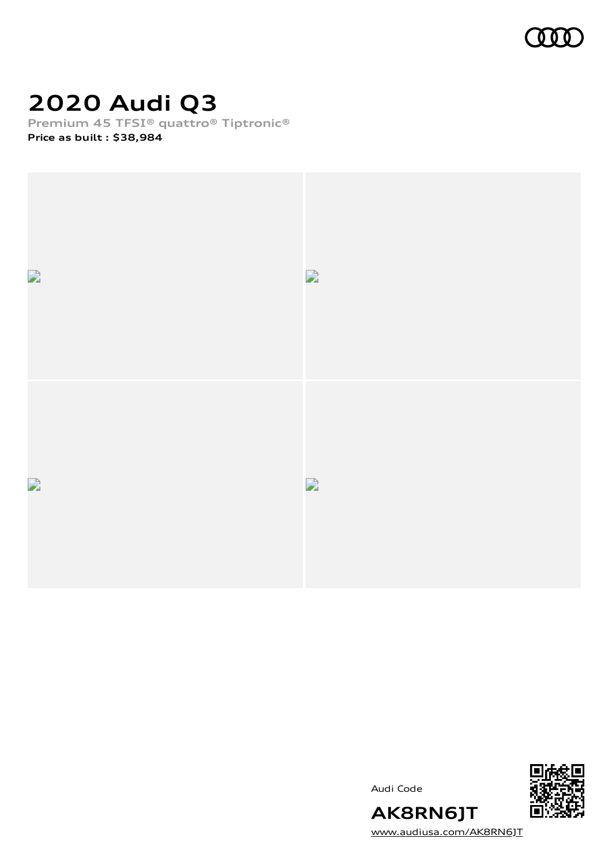

## **2020 Audi Q3**

**Premium 45 TFSI® quattro® Tiptronic®**

**Price as built [:](#page-10-0) \$38,984**



Audi Code



[www.audiusa.com/AK8RN6JT](https://www.audiusa.com/AK8RN6JT)

**AK8RN6JT**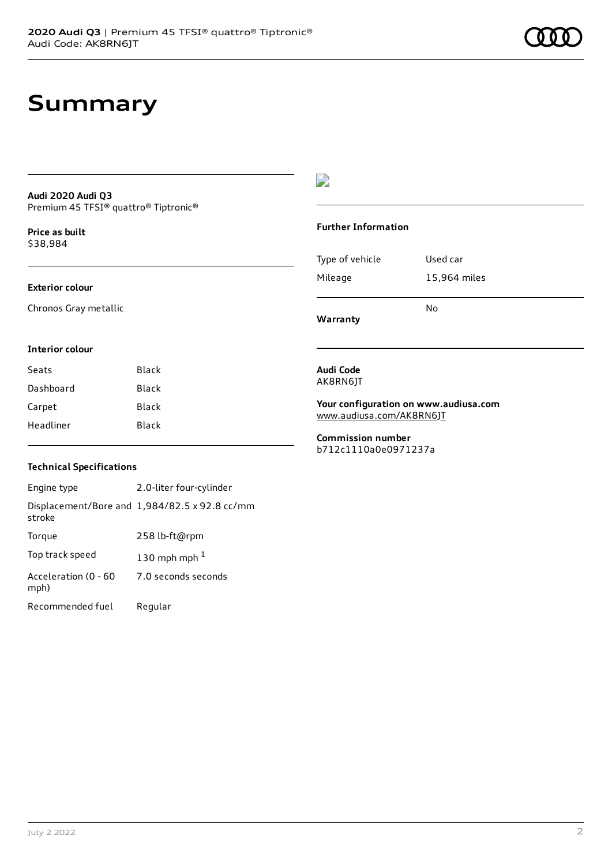### **Summary**

#### **Audi 2020 Audi Q3** Premium 45 TFSI® quattro® Tiptronic®

**Price as buil[t](#page-10-0)** \$38,984

#### **Exterior colour**

Chronos Gray metallic

### D

#### **Further Information**

|                 | N٥           |
|-----------------|--------------|
| Mileage         | 15,964 miles |
| Type of vehicle | Used car     |

**Warranty**

#### **Interior colour**

| Black |
|-------|
| Black |
| Black |
| Black |
|       |

### **Technical Specifications**

Engine type 2.0-liter four-cylinder Displacement/Bore and 1,984/82.5 x 92.8 cc/mm stroke Torque 258 lb-ft@rpm Top track speed  $130$  $130$  mph mph  $^{\rm 1}$ Acceleration (0 - 60 mph) 7.0 seconds seconds Recommended fuel Regular

#### **Audi Code** AK8RN6JT

**Your configuration on www.audiusa.com** [www.audiusa.com/AK8RN6JT](https://www.audiusa.com/AK8RN6JT)

**Commission number** b712c1110a0e0971237a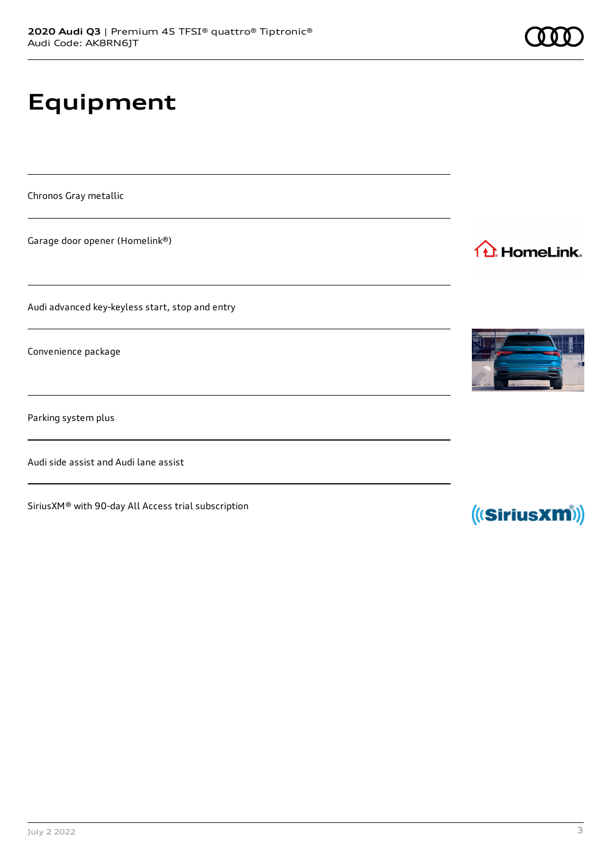# **Equipment**

Chronos Gray metallic

Garage door opener (Homelink®)

Audi advanced key-keyless start, stop and entry

Convenience package

Parking system plus

Audi side assist and Audi lane assist

SiriusXM® with 90-day All Access trial subscription



1<sup>1</sup> HomeLink.



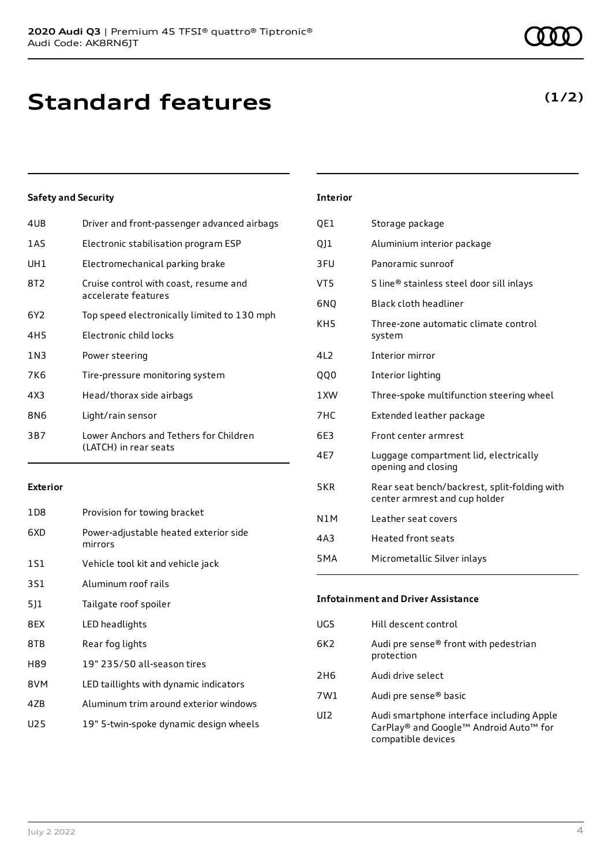### **Standard features**

### **Safety and Security**

| 4UB             | Driver and front-passenger advanced airbags                     |
|-----------------|-----------------------------------------------------------------|
| 1AS             | Electronic stabilisation program ESP                            |
| UH1             | Electromechanical parking brake                                 |
| 8T <sub>2</sub> | Cruise control with coast, resume and<br>accelerate features    |
| 6Y <sub>2</sub> | Top speed electronically limited to 130 mph                     |
| 4H5             | Electronic child locks                                          |
| 1 N 3           | Power steering                                                  |
| 7K6             | Tire-pressure monitoring system                                 |
| 4X3             | Head/thorax side airbags                                        |
| 8N6             | Light/rain sensor                                               |
| 3B7             | Lower Anchors and Tethers for Children<br>(LATCH) in rear seats |
|                 |                                                                 |

#### **Exterior**

| 1D8 | Provision for towing bracket                     |
|-----|--------------------------------------------------|
| 6XD | Power-adjustable heated exterior side<br>mirrors |
| 1S1 | Vehicle tool kit and vehicle jack                |
| 3S1 | Aluminum roof rails                              |
| 511 | Tailgate roof spoiler                            |
| 8EX | LED headlights                                   |
| 8TB | Rear fog lights                                  |
| H89 | 19" 235/50 all-season tires                      |
| 8VM | LED taillights with dynamic indicators           |
| 47B | Aluminum trim around exterior windows            |
| U25 | 19" 5-twin-spoke dynamic design wheels           |
|     |                                                  |

#### **Interior**

| QE1              | Storage package                                                               |
|------------------|-------------------------------------------------------------------------------|
| 011              | Aluminium interior package                                                    |
| 3FU              | Panoramic sunroof                                                             |
| VT5              | S line® stainless steel door sill inlays                                      |
| 6NQ              | Black cloth headliner                                                         |
| KH <sub>5</sub>  | Three-zone automatic climate control<br>system                                |
| 4L2              | Interior mirror                                                               |
| QQ0              | Interior lighting                                                             |
| 1 XW             | Three-spoke multifunction steering wheel                                      |
| 7HC              | Extended leather package                                                      |
| 6E3              | Front center armrest                                                          |
| 4E7              | Luggage compartment lid, electrically<br>opening and closing                  |
| 5KR              | Rear seat bench/backrest, split-folding with<br>center armrest and cup holder |
| N1M              | Leather seat covers                                                           |
| 4A3              | <b>Heated front seats</b>                                                     |
| 5 <sub>M</sub> A | Micrometallic Silver inlays                                                   |

### **Infotainment and Driver Assistance** UG5 Hill descent control

| 6K2 | Audi pre sense® front with pedestrian<br>protection |
|-----|-----------------------------------------------------|
| 2H6 | Audi drive select                                   |
| 7W1 | Audi pre sense <sup>®</sup> basic                   |
|     |                                                     |

UI2 Audi smartphone interface including Apple CarPlay® and Google™ Android Auto™ for compatible devices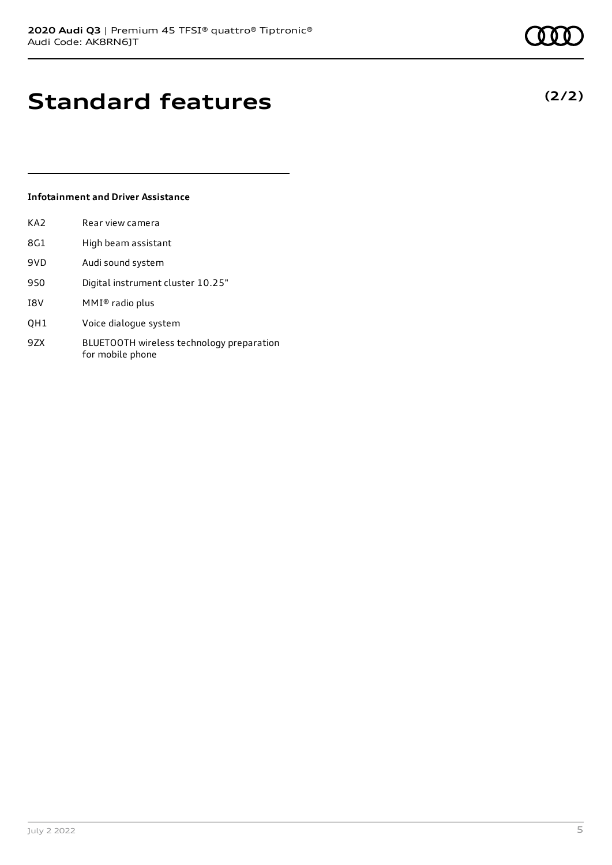**(2/2)**

### **Standard features**

#### **Infotainment and Driver Assistance**

| KA2 | Rear view camera                  |
|-----|-----------------------------------|
| 8G1 | High beam assistant               |
| 9VD | Audi sound system                 |
| 9S0 | Digital instrument cluster 10.25" |
| I8V | $MMI®$ radio plus                 |

- QH1 Voice dialogue system
- 9ZX BLUETOOTH wireless technology preparation for mobile phone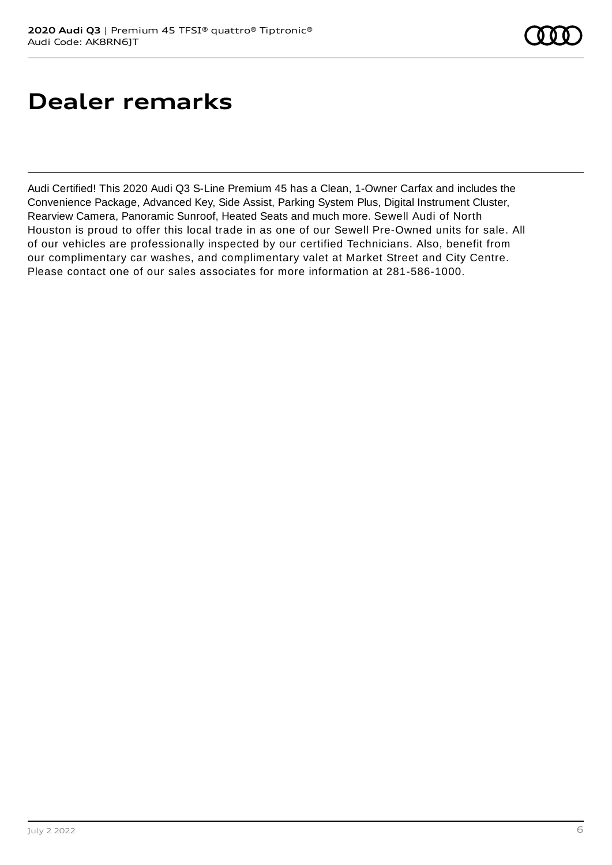### **Dealer remarks**

Audi Certified! This 2020 Audi Q3 S-Line Premium 45 has a Clean, 1-Owner Carfax and includes the Convenience Package, Advanced Key, Side Assist, Parking System Plus, Digital Instrument Cluster, Rearview Camera, Panoramic Sunroof, Heated Seats and much more. Sewell Audi of North Houston is proud to offer this local trade in as one of our Sewell Pre-Owned units for sale. All of our vehicles are professionally inspected by our certified Technicians. Also, benefit from our complimentary car washes, and complimentary valet at Market Street and City Centre. Please contact one of our sales associates for more information at 281-586-1000.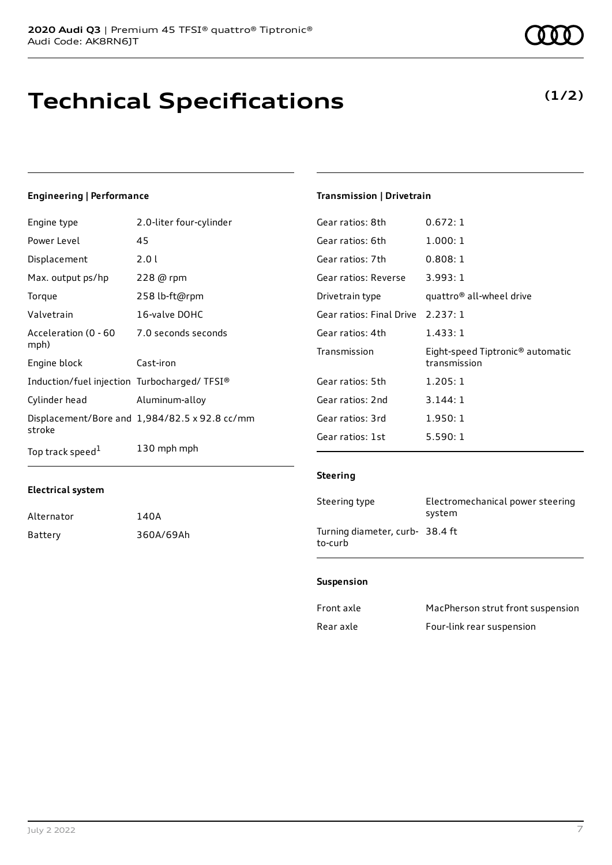# **Technical Specifications**

### Engine type 2.0-liter four-cylinder

**Electrical system**

Alternator 140A

Battery 360A/69Ah

**Engineering | Performance**

| Power Level                                 | 45                                            |
|---------------------------------------------|-----------------------------------------------|
| Displacement                                | 2.0 l                                         |
| Max. output ps/hp                           | 228 @ rpm                                     |
| Torque                                      | 258 lb-ft@rpm                                 |
| Valvetrain                                  | 16-valve DOHC                                 |
| Acceleration (0 - 60<br>mph)                | 7.0 seconds seconds                           |
| Engine block                                | Cast-iron                                     |
| Induction/fuel injection Turbocharged/TFSI® |                                               |
| Cylinder head                               | Aluminum-alloy                                |
| stroke                                      | Displacement/Bore and 1,984/82.5 x 92.8 cc/mm |
| Top track speed <sup>1</sup>                | 130 mph mph                                   |

### **Transmission | Drivetrain**

| 0.672:1                                                      |
|--------------------------------------------------------------|
| 1.000:1                                                      |
| 0.808:1                                                      |
| Gear ratios: Reverse<br>3.993:1                              |
| quattro <sup>®</sup> all-wheel drive                         |
| Gear ratios: Final Drive 2.237: 1                            |
| 1.433:1                                                      |
| Eight-speed Tiptronic <sup>®</sup> automatic<br>transmission |
| 1.205:1                                                      |
| 3.144:1                                                      |
| 1.950:1                                                      |
| 5.590:1                                                      |
|                                                              |

### **Steering**

| Steering type                             | Electromechanical power steering<br>system |
|-------------------------------------------|--------------------------------------------|
| Turning diameter, curb-38.4 ft<br>to-curb |                                            |

### **Suspension**

| Front axle | MacPherson strut front suspension |
|------------|-----------------------------------|
| Rear axle  | Four-link rear suspension         |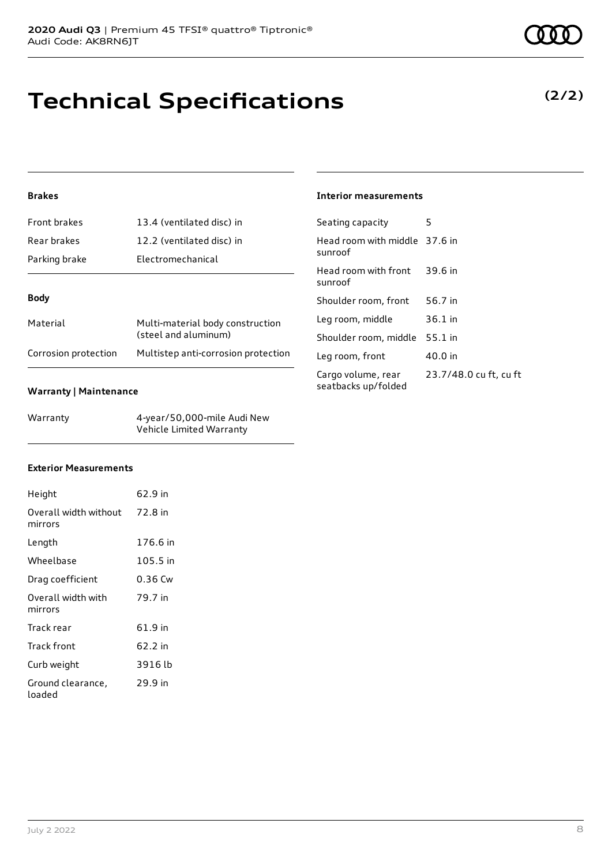# **Technical Specifications**

### **Brakes**

| Front brakes         | 13.4 (ventilated disc) in                                |
|----------------------|----------------------------------------------------------|
| Rear brakes          | 12.2 (ventilated disc) in                                |
| Parking brake        | Electromechanical                                        |
|                      |                                                          |
| <b>Body</b>          |                                                          |
| Material             | Multi-material body construction<br>(steel and aluminum) |
| Corrosion protection | Multistep anti-corrosion protection                      |

#### **Warranty | Maintenance**

| Warranty | 4-year/50,000-mile Audi New |
|----------|-----------------------------|
|          | Vehicle Limited Warranty    |

### **Interior measurements**

| Seating capacity                          | 5                      |
|-------------------------------------------|------------------------|
| Head room with middle 37.6 in<br>sunroof  |                        |
| Head room with front<br>sunroof           | 39.6 in                |
| Shoulder room, front                      | 56.7 in                |
| Leg room, middle                          | $36.1$ in              |
| Shoulder room, middle 55.1 in             |                        |
| Leg room, front                           | 40.0 in                |
| Cargo volume, rear<br>seatbacks up/folded | 23.7/48.0 cu ft, cu ft |

#### **Exterior Measurements**

| Height                                   | 62.9 in  |
|------------------------------------------|----------|
| Overall width without 72.8 in<br>mirrors |          |
| Length                                   | 176.6 in |
| Wheelbase                                | 105.5 in |
| Drag coefficient                         | 0.36 Cw  |
| Overall width with<br>mirrors            | 79.7 in  |
| Track rear                               | 61.9 in  |
| Track front                              | 62.2 in  |
| Curb weight                              | 3916 lb  |
| Ground clearance,<br>loaded              | 29.9 in  |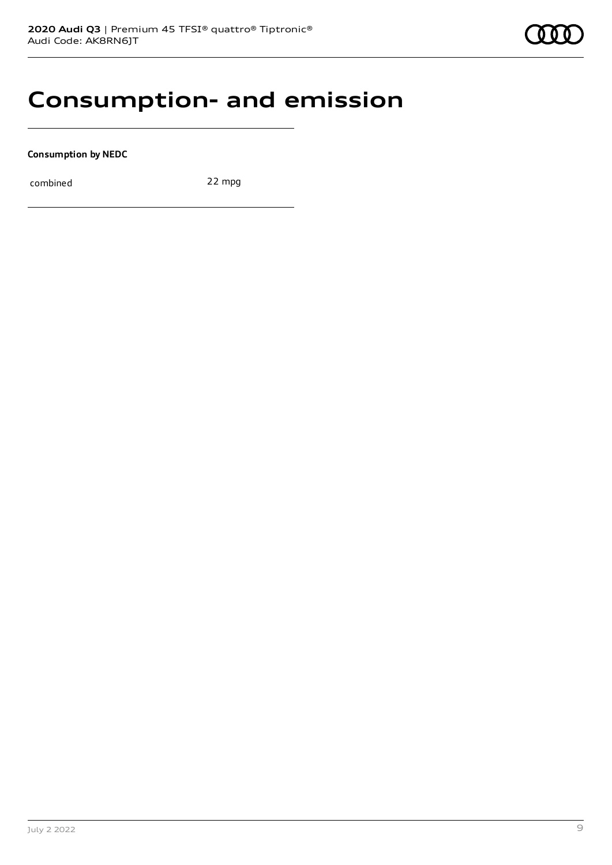### **Consumption- and emission**

**Consumption by NEDC**

combined 22 mpg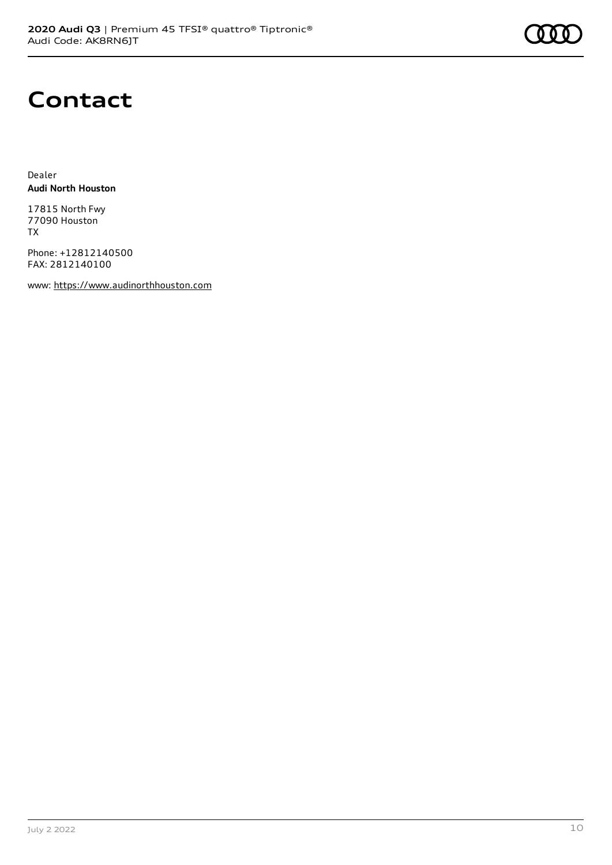

### **Contact**

Dealer **Audi North Houston**

17815 North Fwy 77090 Houston TX

Phone: +12812140500 FAX: 2812140100

www: [https://www.audinorthhouston.com](https://www.audinorthhouston.com/)